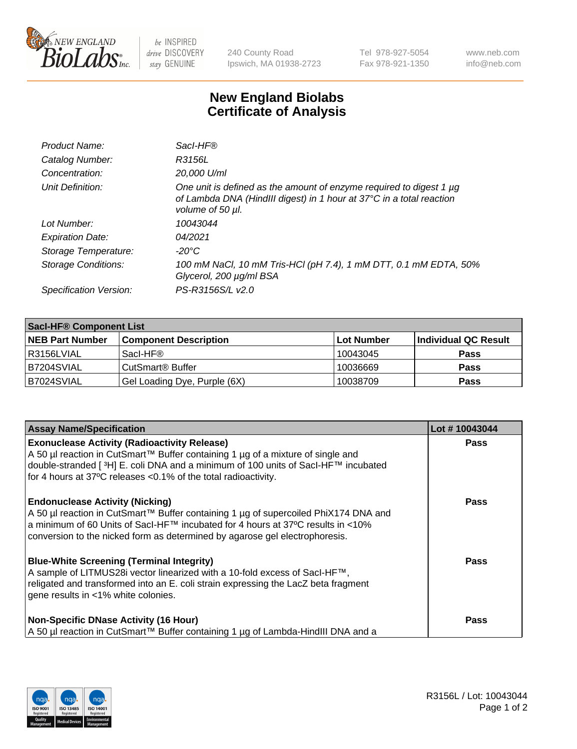

 $be$  INSPIRED drive DISCOVERY stay GENUINE

240 County Road Ipswich, MA 01938-2723 Tel 978-927-5054 Fax 978-921-1350 www.neb.com info@neb.com

## **New England Biolabs Certificate of Analysis**

| Product Name:              | Sacl-HF®                                                                                                                                                        |
|----------------------------|-----------------------------------------------------------------------------------------------------------------------------------------------------------------|
| Catalog Number:            | R3156L                                                                                                                                                          |
| Concentration:             | 20,000 U/ml                                                                                                                                                     |
| Unit Definition:           | One unit is defined as the amount of enzyme required to digest 1 µg<br>of Lambda DNA (HindIII digest) in 1 hour at 37°C in a total reaction<br>volume of 50 µl. |
| Lot Number:                | 10043044                                                                                                                                                        |
| <b>Expiration Date:</b>    | 04/2021                                                                                                                                                         |
| Storage Temperature:       | $-20^{\circ}$ C                                                                                                                                                 |
| <b>Storage Conditions:</b> | 100 mM NaCl, 10 mM Tris-HCl (pH 7.4), 1 mM DTT, 0.1 mM EDTA, 50%<br>Glycerol, 200 µg/ml BSA                                                                     |
| Specification Version:     | PS-R3156S/L v2.0                                                                                                                                                |

| <b>Saci-HF® Component List</b> |                              |            |                      |  |
|--------------------------------|------------------------------|------------|----------------------|--|
| <b>NEB Part Number</b>         | <b>Component Description</b> | Lot Number | Individual QC Result |  |
| l R3156LVIAL                   | Sacl-HF®                     | 10043045   | <b>Pass</b>          |  |
| IB7204SVIAL                    | CutSmart <sup>®</sup> Buffer | 10036669   | <b>Pass</b>          |  |
| B7024SVIAL                     | Gel Loading Dye, Purple (6X) | 10038709   | <b>Pass</b>          |  |

| <b>Assay Name/Specification</b>                                                                                                                                                                                                                                                                 | Lot #10043044 |
|-------------------------------------------------------------------------------------------------------------------------------------------------------------------------------------------------------------------------------------------------------------------------------------------------|---------------|
| <b>Exonuclease Activity (Radioactivity Release)</b><br>A 50 µl reaction in CutSmart™ Buffer containing 1 µg of a mixture of single and<br>double-stranded [3H] E. coli DNA and a minimum of 100 units of Sacl-HF™ incubated<br>for 4 hours at 37°C releases <0.1% of the total radioactivity.   | <b>Pass</b>   |
| <b>Endonuclease Activity (Nicking)</b><br>A 50 µl reaction in CutSmart™ Buffer containing 1 µg of supercoiled PhiX174 DNA and<br>a minimum of 60 Units of Sacl-HF™ incubated for 4 hours at 37°C results in <10%<br>conversion to the nicked form as determined by agarose gel electrophoresis. | <b>Pass</b>   |
| <b>Blue-White Screening (Terminal Integrity)</b><br>A sample of LITMUS28i vector linearized with a 10-fold excess of SacI-HF™,<br>religated and transformed into an E. coli strain expressing the LacZ beta fragment<br>gene results in <1% white colonies.                                     | <b>Pass</b>   |
| <b>Non-Specific DNase Activity (16 Hour)</b><br>A 50 µl reaction in CutSmart™ Buffer containing 1 µg of Lambda-HindIII DNA and a                                                                                                                                                                | <b>Pass</b>   |